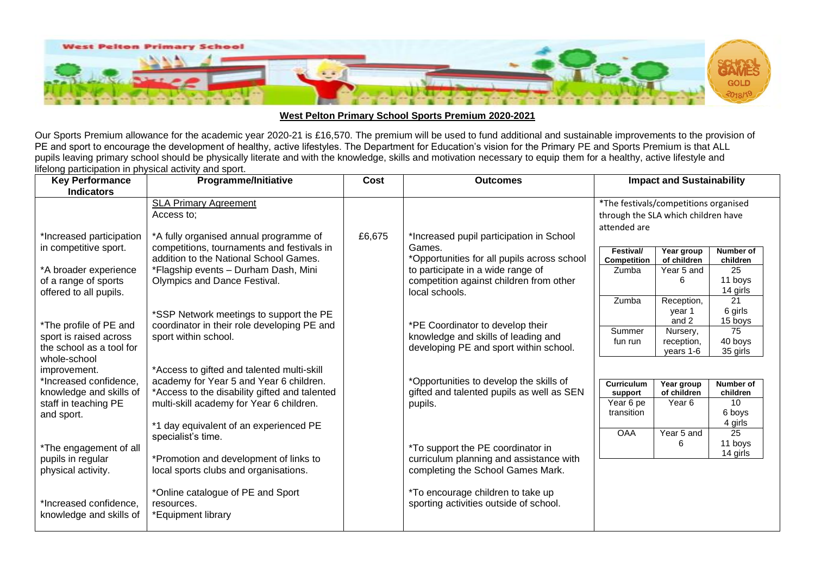

## **West Pelton Primary School Sports Premium 2020-2021**

Our Sports Premium allowance for the academic year 2020-21 is £16,570. The premium will be used to fund additional and sustainable improvements to the provision of PE and sport to encourage the development of healthy, active lifestyles. The Department for Education's vision for the Primary PE and Sports Premium is that ALL pupils leaving primary school should be physically literate and with the knowledge, skills and motivation necessary to equip them for a healthy, active lifestyle and lifelong participation in physical activity and sport.

| <b>Key Performance</b>                          | <b>Programme/Initiative</b>                                                               | Cost   | <b>Outcomes</b>                             | <b>Impact and Sustainability</b>      |                       |                             |  |
|-------------------------------------------------|-------------------------------------------------------------------------------------------|--------|---------------------------------------------|---------------------------------------|-----------------------|-----------------------------|--|
| <b>Indicators</b>                               |                                                                                           |        |                                             |                                       |                       |                             |  |
|                                                 | <b>SLA Primary Agreement</b>                                                              |        |                                             | *The festivals/competitions organised |                       |                             |  |
|                                                 | Access to:                                                                                |        |                                             | through the SLA which children have   |                       |                             |  |
|                                                 |                                                                                           |        |                                             | attended are                          |                       |                             |  |
| *Increased participation                        | *A fully organised annual programme of                                                    | £6,675 | *Increased pupil participation in School    |                                       |                       |                             |  |
| in competitive sport.                           | competitions, tournaments and festivals in                                                |        | Games.                                      | Festival/                             | Year group            | Number of                   |  |
|                                                 | addition to the National School Games.                                                    |        | *Opportunities for all pupils across school | Competition                           | of children           | children                    |  |
| *A broader experience                           | *Flagship events - Durham Dash, Mini                                                      |        | to participate in a wide range of           | Zumba                                 | Year 5 and            | 25                          |  |
| of a range of sports                            | Olympics and Dance Festival.                                                              |        | competition against children from other     |                                       | 6                     | 11 boys                     |  |
| offered to all pupils.                          |                                                                                           |        | local schools.                              | Zumba                                 |                       | 14 girls<br>21              |  |
|                                                 |                                                                                           |        |                                             |                                       | Reception,<br>year 1  | 6 girls                     |  |
|                                                 | *SSP Network meetings to support the PE                                                   |        |                                             |                                       | and 2                 | 15 boys                     |  |
| *The profile of PE and                          | coordinator in their role developing PE and                                               |        | *PE Coordinator to develop their            | Summer                                | Nursery,              | 75                          |  |
| sport is raised across                          | sport within school.                                                                      |        | knowledge and skills of leading and         | fun run                               | reception,            | 40 boys                     |  |
| the school as a tool for                        |                                                                                           |        | developing PE and sport within school.      |                                       | years 1-6             | 35 girls                    |  |
| whole-school                                    |                                                                                           |        |                                             |                                       |                       |                             |  |
| improvement.                                    | *Access to gifted and talented multi-skill                                                |        |                                             |                                       |                       |                             |  |
| *Increased confidence,                          | academy for Year 5 and Year 6 children.                                                   |        | *Opportunities to develop the skills of     | <b>Curriculum</b>                     | Year group            | Number of                   |  |
| knowledge and skills of<br>staff in teaching PE | *Access to the disability gifted and talented<br>multi-skill academy for Year 6 children. |        | gifted and talented pupils as well as SEN   | support<br>Year 6 pe                  | of children<br>Year 6 | children<br>10 <sup>°</sup> |  |
| and sport.                                      |                                                                                           |        | pupils.                                     | transition                            |                       | 6 boys                      |  |
|                                                 | *1 day equivalent of an experienced PE                                                    |        |                                             |                                       |                       | 4 girls                     |  |
|                                                 | specialist's time.                                                                        |        |                                             | <b>OAA</b>                            | Year 5 and            | 25                          |  |
| *The engagement of all                          |                                                                                           |        | *To support the PE coordinator in           |                                       | 6                     | 11 boys                     |  |
| pupils in regular                               | *Promotion and development of links to                                                    |        | curriculum planning and assistance with     |                                       |                       | 14 girls                    |  |
| physical activity.                              | local sports clubs and organisations.                                                     |        | completing the School Games Mark.           |                                       |                       |                             |  |
|                                                 |                                                                                           |        |                                             |                                       |                       |                             |  |
|                                                 | *Online catalogue of PE and Sport                                                         |        | *To encourage children to take up           |                                       |                       |                             |  |
| *Increased confidence.                          | resources.                                                                                |        | sporting activities outside of school.      |                                       |                       |                             |  |
| knowledge and skills of                         | *Equipment library                                                                        |        |                                             |                                       |                       |                             |  |
|                                                 |                                                                                           |        |                                             |                                       |                       |                             |  |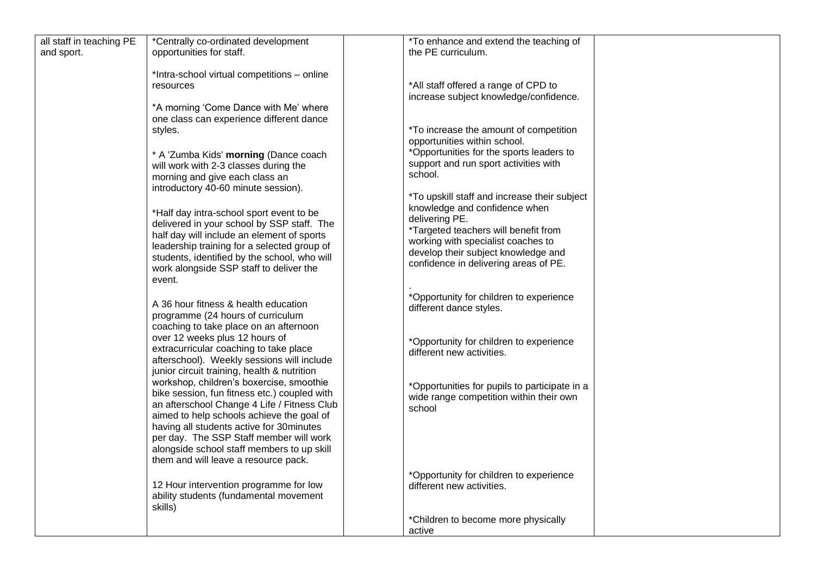| all staff in teaching PE | *Centrally co-ordinated development          | *To enhance and extend the teaching of        |  |
|--------------------------|----------------------------------------------|-----------------------------------------------|--|
| and sport.               | opportunities for staff.                     | the PE curriculum.                            |  |
|                          |                                              |                                               |  |
|                          | *Intra-school virtual competitions - online  |                                               |  |
|                          | resources                                    | *All staff offered a range of CPD to          |  |
|                          |                                              | increase subject knowledge/confidence.        |  |
|                          | *A morning 'Come Dance with Me' where        |                                               |  |
|                          |                                              |                                               |  |
|                          | one class can experience different dance     |                                               |  |
|                          | styles.                                      | <i>*To increase the amount of competition</i> |  |
|                          |                                              | opportunities within school.                  |  |
|                          | * A 'Zumba Kids' morning (Dance coach        | *Opportunities for the sports leaders to      |  |
|                          | will work with 2-3 classes during the        | support and run sport activities with         |  |
|                          | morning and give each class an               | school.                                       |  |
|                          |                                              |                                               |  |
|                          | introductory 40-60 minute session).          | *To upskill staff and increase their subject  |  |
|                          |                                              |                                               |  |
|                          | *Half day intra-school sport event to be     | knowledge and confidence when                 |  |
|                          | delivered in your school by SSP staff. The   | delivering PE.                                |  |
|                          | half day will include an element of sports   | *Targeted teachers will benefit from          |  |
|                          | leadership training for a selected group of  | working with specialist coaches to            |  |
|                          | students, identified by the school, who will | develop their subject knowledge and           |  |
|                          |                                              | confidence in delivering areas of PE.         |  |
|                          | work alongside SSP staff to deliver the      |                                               |  |
|                          | event.                                       |                                               |  |
|                          |                                              | *Opportunity for children to experience       |  |
|                          | A 36 hour fitness & health education         | different dance styles.                       |  |
|                          | programme (24 hours of curriculum            |                                               |  |
|                          | coaching to take place on an afternoon       |                                               |  |
|                          | over 12 weeks plus 12 hours of               |                                               |  |
|                          |                                              | *Opportunity for children to experience       |  |
|                          | extracurricular coaching to take place       | different new activities.                     |  |
|                          | afterschool). Weekly sessions will include   |                                               |  |
|                          | junior circuit training, health & nutrition  |                                               |  |
|                          | workshop, children's boxercise, smoothie     | *Opportunities for pupils to participate in a |  |
|                          | bike session, fun fitness etc.) coupled with | wide range competition within their own       |  |
|                          | an afterschool Change 4 Life / Fitness Club  |                                               |  |
|                          | aimed to help schools achieve the goal of    | school                                        |  |
|                          | having all students active for 30minutes     |                                               |  |
|                          |                                              |                                               |  |
|                          | per day. The SSP Staff member will work      |                                               |  |
|                          | alongside school staff members to up skill   |                                               |  |
|                          | them and will leave a resource pack.         |                                               |  |
|                          |                                              | *Opportunity for children to experience       |  |
|                          | 12 Hour intervention programme for low       | different new activities.                     |  |
|                          | ability students (fundamental movement       |                                               |  |
|                          | skills)                                      |                                               |  |
|                          |                                              |                                               |  |
|                          |                                              | *Children to become more physically           |  |
|                          |                                              | active                                        |  |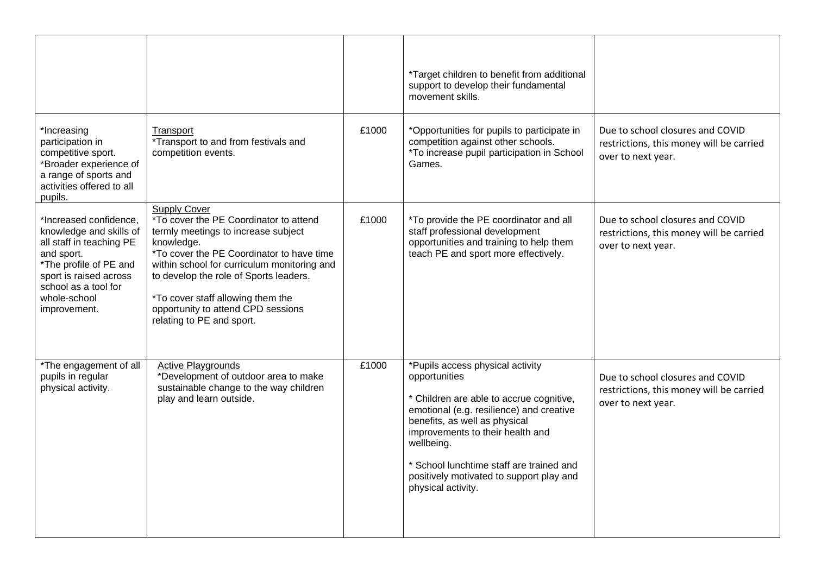|                                                                                                                                                                                                         |                                                                                                                                                                                                                                                                                                                                                                         |       | *Target children to benefit from additional<br>support to develop their fundamental<br>movement skills.                                                                                                                                                                                                                                    |                                                                                                    |
|---------------------------------------------------------------------------------------------------------------------------------------------------------------------------------------------------------|-------------------------------------------------------------------------------------------------------------------------------------------------------------------------------------------------------------------------------------------------------------------------------------------------------------------------------------------------------------------------|-------|--------------------------------------------------------------------------------------------------------------------------------------------------------------------------------------------------------------------------------------------------------------------------------------------------------------------------------------------|----------------------------------------------------------------------------------------------------|
| *Increasing<br>participation in<br>competitive sport.<br>*Broader experience of<br>a range of sports and<br>activities offered to all<br>pupils.                                                        | Transport<br>*Transport to and from festivals and<br>competition events.                                                                                                                                                                                                                                                                                                | £1000 | *Opportunities for pupils to participate in<br>competition against other schools.<br>*To increase pupil participation in School<br>Games.                                                                                                                                                                                                  | Due to school closures and COVID<br>restrictions, this money will be carried<br>over to next year. |
| *Increased confidence,<br>knowledge and skills of<br>all staff in teaching PE<br>and sport.<br>*The profile of PE and<br>sport is raised across<br>school as a tool for<br>whole-school<br>improvement. | <b>Supply Cover</b><br><i>*To cover the PE Coordinator to attend</i><br>termly meetings to increase subject<br>knowledge.<br>*To cover the PE Coordinator to have time<br>within school for curriculum monitoring and<br>to develop the role of Sports leaders.<br>*To cover staff allowing them the<br>opportunity to attend CPD sessions<br>relating to PE and sport. | £1000 | *To provide the PE coordinator and all<br>staff professional development<br>opportunities and training to help them<br>teach PE and sport more effectively.                                                                                                                                                                                | Due to school closures and COVID<br>restrictions, this money will be carried<br>over to next year. |
| *The engagement of all<br>pupils in regular<br>physical activity.                                                                                                                                       | <b>Active Playgrounds</b><br>*Development of outdoor area to make<br>sustainable change to the way children<br>play and learn outside.                                                                                                                                                                                                                                  | £1000 | *Pupils access physical activity<br>opportunities<br>* Children are able to accrue cognitive,<br>emotional (e.g. resilience) and creative<br>benefits, as well as physical<br>improvements to their health and<br>wellbeing.<br>* School lunchtime staff are trained and<br>positively motivated to support play and<br>physical activity. | Due to school closures and COVID<br>restrictions, this money will be carried<br>over to next year. |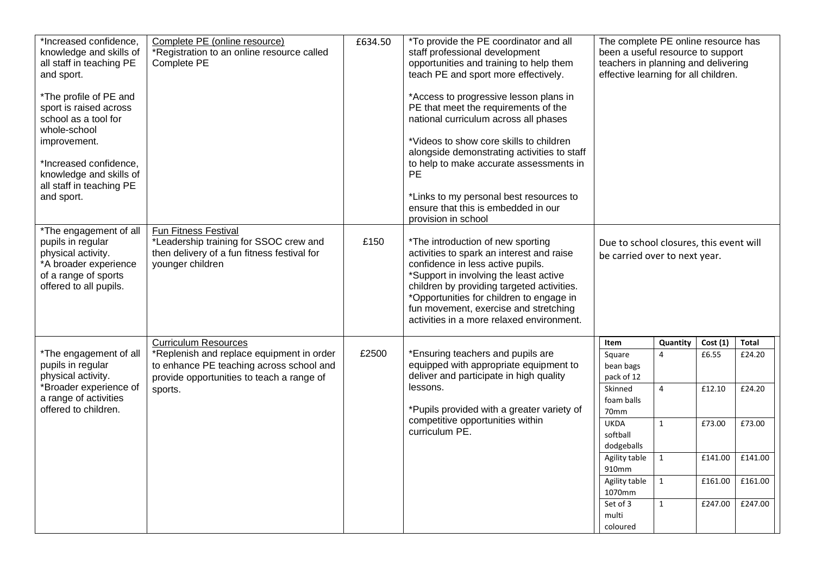| *Increased confidence,<br>knowledge and skills of<br>all staff in teaching PE<br>and sport.                                                                                                             | Complete PE (online resource)<br>*Registration to an online resource called<br>Complete PE                                                    | £634.50 | *To provide the PE coordinator and all<br>staff professional development<br>opportunities and training to help them<br>teach PE and sport more effectively.                                                                                                                                                                                                                        | The complete PE online resource has<br>been a useful resource to support<br>teachers in planning and delivering<br>effective learning for all children. |                |         |              |
|---------------------------------------------------------------------------------------------------------------------------------------------------------------------------------------------------------|-----------------------------------------------------------------------------------------------------------------------------------------------|---------|------------------------------------------------------------------------------------------------------------------------------------------------------------------------------------------------------------------------------------------------------------------------------------------------------------------------------------------------------------------------------------|---------------------------------------------------------------------------------------------------------------------------------------------------------|----------------|---------|--------------|
| *The profile of PE and<br>sport is raised across<br>school as a tool for<br>whole-school<br>improvement.<br>*Increased confidence,<br>knowledge and skills of<br>all staff in teaching PE<br>and sport. |                                                                                                                                               |         | *Access to progressive lesson plans in<br>PE that meet the requirements of the<br>national curriculum across all phases<br>*Videos to show core skills to children<br>alongside demonstrating activities to staff<br>to help to make accurate assessments in<br><b>PE</b><br>*Links to my personal best resources to<br>ensure that this is embedded in our<br>provision in school |                                                                                                                                                         |                |         |              |
| *The engagement of all<br>pupils in regular<br>physical activity.<br>*A broader experience<br>of a range of sports<br>offered to all pupils.                                                            | <b>Fun Fitness Festival</b><br>*Leadership training for SSOC crew and<br>then delivery of a fun fitness festival for<br>younger children      | £150    | *The introduction of new sporting<br>activities to spark an interest and raise<br>confidence in less active pupils.<br>*Support in involving the least active<br>children by providing targeted activities.<br>*Opportunities for children to engage in<br>fun movement, exercise and stretching<br>activities in a more relaxed environment.                                      | Due to school closures, this event will<br>be carried over to next year.                                                                                |                |         |              |
|                                                                                                                                                                                                         | <b>Curriculum Resources</b>                                                                                                                   |         |                                                                                                                                                                                                                                                                                                                                                                                    | Item                                                                                                                                                    | Quantity       | Cost(1) | <b>Total</b> |
| *The engagement of all<br>pupils in regular<br>physical activity.<br>*Broader experience of<br>a range of activities<br>offered to children.                                                            | *Replenish and replace equipment in order<br>to enhance PE teaching across school and<br>provide opportunities to teach a range of<br>sports. | £2500   | *Ensuring teachers and pupils are<br>equipped with appropriate equipment to<br>deliver and participate in high quality                                                                                                                                                                                                                                                             | Square<br>bean bags<br>pack of 12                                                                                                                       | 4              | £6.55   | £24.20       |
|                                                                                                                                                                                                         |                                                                                                                                               |         | lessons.<br>*Pupils provided with a greater variety of<br>competitive opportunities within<br>curriculum PE.                                                                                                                                                                                                                                                                       | Skinned<br>foam balls<br>70mm                                                                                                                           | $\overline{4}$ | £12.10  | £24.20       |
|                                                                                                                                                                                                         |                                                                                                                                               |         |                                                                                                                                                                                                                                                                                                                                                                                    | <b>UKDA</b><br>softball<br>dodgeballs                                                                                                                   | $\mathbf{1}$   | £73.00  | £73.00       |
|                                                                                                                                                                                                         |                                                                                                                                               |         |                                                                                                                                                                                                                                                                                                                                                                                    | Agility table<br>910mm                                                                                                                                  | $\mathbf{1}$   | £141.00 | £141.00      |
|                                                                                                                                                                                                         |                                                                                                                                               |         |                                                                                                                                                                                                                                                                                                                                                                                    | Agility table<br>1070mm                                                                                                                                 | $\mathbf{1}$   | £161.00 | £161.00      |
|                                                                                                                                                                                                         |                                                                                                                                               |         |                                                                                                                                                                                                                                                                                                                                                                                    | Set of 3<br>multi<br>coloured                                                                                                                           | $\mathbf{1}$   | £247.00 | £247.00      |